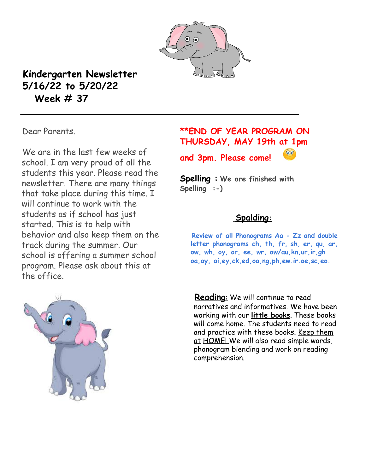

**\_\_\_\_\_\_\_\_\_\_\_\_\_\_\_\_\_\_\_\_\_\_\_\_\_\_\_\_\_\_\_\_\_\_\_\_\_\_\_\_\_\_\_\_\_\_\_\_\_\_\_\_\_**

## **Kindergarten Newsletter 5/16/22 to 5/20/22 Week # 37**

Dear Parents.

We are in the last few weeks of school. I am very proud of all the students this year. Please read the newsletter. There are many things that take place during this time. I will continue to work with the students as if school has just started. This is to help with behavior and also keep them on the track during the summer. Our school is offering a summer school program. Please ask about this at the office.



## **\*\*END OF YEAR PROGRAM ON THURSDAY, MAY 19th at 1pm and 3pm. Please come!**

**Spelling : We are finished with Spelling :-)**

## **Spalding:**

**Review of all Phonograms Aa - Zz and double letter phonograms ch, th, fr, sh, er, qu, ar, ow, wh, oy, or, ee, wr, aw/au,kn,ur,ir,gh oa,ay, ai,ey,ck,ed,oa,ng,ph,ew.ir.oe,sc,eo.**

**Reading**: We will continue to read narratives and informatives. We have been working with our **little books**. These books will come home. The students need to read and practice with these books. Keep them <u>at HOME!</u> We will also read simple words, phonogram blending and work on reading comprehension.